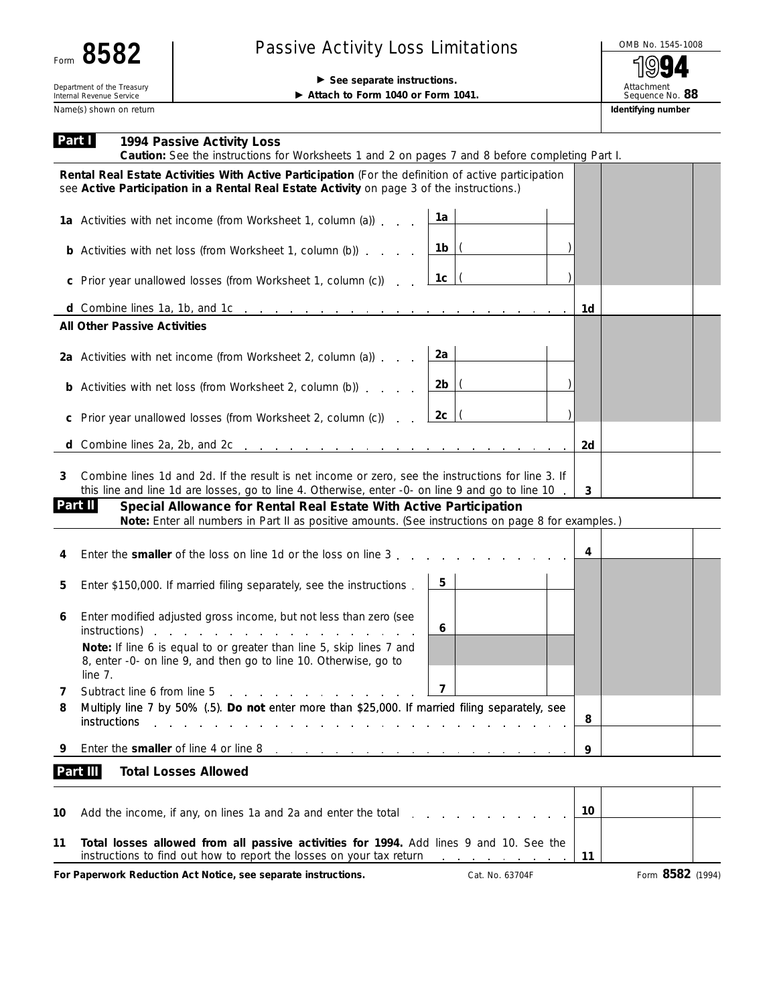## Passive Activity Loss Limitations  $\overline{ }$   $\overline{ }$   $\overline{ }$   $\overline{ }$   $\overline{ }$   $\overline{ }$   $\overline{ }$   $\overline{ }$   $\overline{ }$   $\overline{ }$   $\overline{ }$   $\overline{ }$   $\overline{ }$   $\overline{ }$   $\overline{ }$   $\overline{ }$   $\overline{ }$   $\overline{ }$   $\overline{ }$   $\overline{ }$   $\overline{ }$   $\overline{ }$   $\overline{ }$   $\overline$

**Department of the Treasury and The Treasury and The Treasury and The Treasury and The Treasury and The Treasury and The Treasury and The Treasury and Treasury and Treasury and Treasury and Treasury and Treasury and Treas** 

Attachment Sequence No. **88**

▶ Attach to Form 1040 or Form 1041.

Name(s) shown on return **Identifying number Identifying number Identifying number** 

| Part I  | 1994 Passive Activity Loss<br>Caution: See the instructions for Worksheets 1 and 2 on pages 7 and 8 before completing Part I.                                                                         |    |                  |  |
|---------|-------------------------------------------------------------------------------------------------------------------------------------------------------------------------------------------------------|----|------------------|--|
|         | Rental Real Estate Activities With Active Participation (For the definition of active participation<br>see Active Participation in a Rental Real Estate Activity on page 3 of the instructions.)      |    |                  |  |
|         | 1a<br>1a Activities with net income (from Worksheet 1, column (a))                                                                                                                                    |    |                  |  |
|         | <b>b</b> Activities with net loss (from Worksheet 1, column (b)) $\ldots$ $\frac{1 \text{ lb}}{1 \text{ lb}}$                                                                                         |    |                  |  |
|         | 1c   (<br>c Prior year unallowed losses (from Worksheet 1, column (c))                                                                                                                                |    |                  |  |
|         | d Combine lines 1a, 1b, and 1c $\ldots$ $\ldots$ $\ldots$ $\ldots$ $\ldots$ $\ldots$ $\ldots$ $\ldots$ $\ldots$                                                                                       | 1d |                  |  |
|         | <b>All Other Passive Activities</b>                                                                                                                                                                   |    |                  |  |
|         | 2a Activities with net income (from Worksheet 2, column (a)) $\ldots$ 2a                                                                                                                              |    |                  |  |
|         |                                                                                                                                                                                                       |    |                  |  |
|         | $2c$  (<br>c Prior year unallowed losses (from Worksheet 2, column (c))                                                                                                                               |    |                  |  |
|         | d Combine lines 2a, 2b, and 2c $\ldots$ $\ldots$ $\ldots$ $\ldots$ $\ldots$ $\ldots$ $\ldots$ $\ldots$                                                                                                | 2d |                  |  |
| 3       | Combine lines 1d and 2d. If the result is net income or zero, see the instructions for line 3. If<br>this line and line 1d are losses, go to line 4. Otherwise, enter -0- on line 9 and go to line 10 | 3  |                  |  |
| Part II | Special Allowance for Rental Real Estate With Active Participation                                                                                                                                    |    |                  |  |
|         | Note: Enter all numbers in Part II as positive amounts. (See instructions on page 8 for examples.)                                                                                                    |    |                  |  |
| 4       | Enter the <b>smaller</b> of the loss on line 1d or the loss on line 3.                                                                                                                                | 4  |                  |  |
| 5       | 5<br>Enter \$150,000. If married filing separately, see the instructions.                                                                                                                             |    |                  |  |
| 6       | Enter modified adjusted gross income, but not less than zero (see<br>6<br>instructions)<br>and the contract of the contract of the                                                                    |    |                  |  |
|         | Note: If line 6 is equal to or greater than line 5, skip lines 7 and<br>8, enter -0- on line 9, and then go to line 10. Otherwise, go to<br>line 7.                                                   |    |                  |  |
| 7       | $\overline{ }$<br>Subtract line 6 from line 5                                                                                                                                                         |    |                  |  |
| 8       | Multiply line 7 by 50% (.5). Do not enter more than \$25,000. If married filing separately, see<br>instructions                                                                                       | 8  |                  |  |
| 9       | Enter the smaller of line 4 or line 8<br>the contract of the contract of the contract of the contract of                                                                                              | 9  |                  |  |
|         | <b>Total Losses Allowed</b><br>Part III                                                                                                                                                               |    |                  |  |
| 10      | Add the income, if any, on lines 1a and 2a and enter the total                                                                                                                                        | 10 |                  |  |
| 11      | Total losses allowed from all passive activities for 1994. Add lines 9 and 10. See the<br>instructions to find out how to report the losses on your tax return                                        | 11 |                  |  |
|         | For Paperwork Reduction Act Notice, see separate instructions.<br>Cat. No. 63704F                                                                                                                     |    | Form 8582 (1994) |  |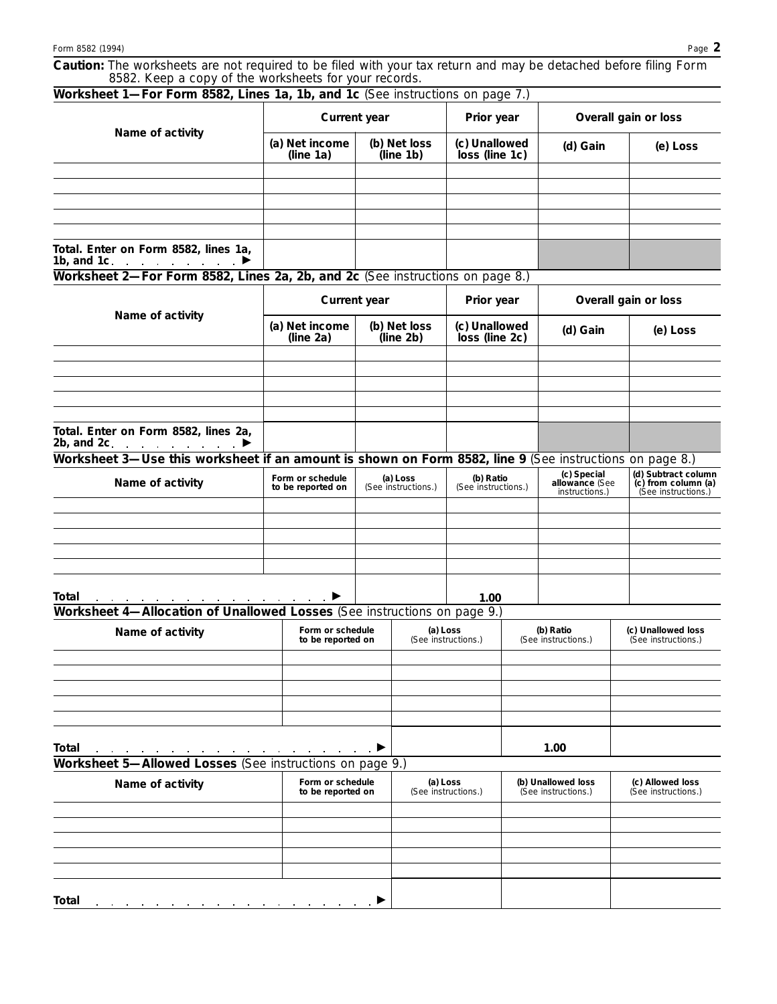|                                                       | Caution: The worksheets are not required to be filed with your tax return and may be detached before filing Form |  |  |  |  |  |
|-------------------------------------------------------|------------------------------------------------------------------------------------------------------------------|--|--|--|--|--|
| 8582. Keep a copy of the worksheets for your records. |                                                                                                                  |  |  |  |  |  |

| Worksheet 1-For Form 8582, Lines 1a, 1b, and 1c (See instructions on page 7.)                                                              |                                       |                                       |                                  |                                                                              |                                                 |                                                                   |  |
|--------------------------------------------------------------------------------------------------------------------------------------------|---------------------------------------|---------------------------------------|----------------------------------|------------------------------------------------------------------------------|-------------------------------------------------|-------------------------------------------------------------------|--|
|                                                                                                                                            | Current year                          |                                       | Prior year                       |                                                                              | Overall gain or loss                            |                                                                   |  |
| Name of activity                                                                                                                           | (a) Net income<br>(line 1a)           | (b) Net loss<br>(line 1b)             | (c) Unallowed<br>loss (line 1c)  |                                                                              | (d) Gain                                        | (e) Loss                                                          |  |
|                                                                                                                                            |                                       |                                       |                                  |                                                                              |                                                 |                                                                   |  |
|                                                                                                                                            |                                       |                                       |                                  |                                                                              |                                                 |                                                                   |  |
|                                                                                                                                            |                                       |                                       |                                  |                                                                              |                                                 |                                                                   |  |
|                                                                                                                                            |                                       |                                       |                                  |                                                                              |                                                 |                                                                   |  |
| Total. Enter on Form 8582, lines 1a,<br>1b, and 1c.<br>$\mathcal{A}$ . The second contribution of $\mathcal{A}$<br>▶                       |                                       |                                       |                                  |                                                                              |                                                 |                                                                   |  |
| Worksheet 2-For Form 8582, Lines 2a, 2b, and 2c (See instructions on page 8.)                                                              |                                       |                                       |                                  |                                                                              |                                                 |                                                                   |  |
|                                                                                                                                            | <b>Current year</b>                   |                                       | Prior year                       |                                                                              | Overall gain or loss                            |                                                                   |  |
| Name of activity                                                                                                                           | (a) Net income<br>(line 2a)           | (b) Net loss<br>(line 2b)             | (c) Unallowed<br>loss (line 2c)  |                                                                              | (d) Gain                                        | (e) Loss                                                          |  |
|                                                                                                                                            |                                       |                                       |                                  |                                                                              |                                                 |                                                                   |  |
|                                                                                                                                            |                                       |                                       |                                  |                                                                              |                                                 |                                                                   |  |
|                                                                                                                                            |                                       |                                       |                                  |                                                                              |                                                 |                                                                   |  |
| Total. Enter on Form 8582, lines 2a,<br>2b, and 2c.<br>$\mathcal{L}^{\mathcal{A}}$ . The set of the set of the $\mathcal{L}^{\mathcal{A}}$ |                                       |                                       |                                  |                                                                              |                                                 |                                                                   |  |
| Worksheet 3-Use this worksheet if an amount is shown on Form 8582, line 9 (See instructions on page 8.)                                    |                                       |                                       |                                  |                                                                              |                                                 |                                                                   |  |
| Name of activity                                                                                                                           | Form or schedule<br>to be reported on | (a) Loss<br>(See instructions.)       | (b) Ratio<br>(See instructions.) |                                                                              | (c) Special<br>allowance (See<br>instructions.) | (d) Subtract column<br>(c) from column (a)<br>(See instructions.) |  |
|                                                                                                                                            |                                       |                                       |                                  |                                                                              |                                                 |                                                                   |  |
|                                                                                                                                            |                                       |                                       |                                  |                                                                              |                                                 |                                                                   |  |
|                                                                                                                                            |                                       |                                       |                                  |                                                                              |                                                 |                                                                   |  |
|                                                                                                                                            |                                       |                                       |                                  |                                                                              |                                                 |                                                                   |  |
| Total<br>Worksheet 4-Allocation of Unallowed Losses (See instructions on page 9.)                                                          |                                       |                                       | 1.00                             |                                                                              |                                                 |                                                                   |  |
|                                                                                                                                            |                                       |                                       |                                  |                                                                              | (b) Ratio                                       | (c) Unallowed loss                                                |  |
| Name of activity                                                                                                                           | Form or schedule<br>to be reported on |                                       | (a) Loss<br>(See instructions.)  |                                                                              | (See instructions.)                             | (See instructions.)                                               |  |
|                                                                                                                                            |                                       |                                       |                                  |                                                                              |                                                 |                                                                   |  |
|                                                                                                                                            |                                       |                                       |                                  |                                                                              |                                                 |                                                                   |  |
|                                                                                                                                            |                                       |                                       |                                  |                                                                              |                                                 |                                                                   |  |
|                                                                                                                                            |                                       |                                       |                                  |                                                                              |                                                 |                                                                   |  |
| Total                                                                                                                                      |                                       |                                       |                                  |                                                                              | 1.00                                            |                                                                   |  |
| Worksheet 5-Allowed Losses (See instructions on page 9.)                                                                                   |                                       |                                       |                                  |                                                                              |                                                 |                                                                   |  |
| Name of activity                                                                                                                           |                                       | Form or schedule<br>to be reported on |                                  | (a) Loss<br>(b) Unallowed loss<br>(See instructions.)<br>(See instructions.) |                                                 | (c) Allowed loss<br>(See instructions.)                           |  |
|                                                                                                                                            |                                       |                                       |                                  |                                                                              |                                                 |                                                                   |  |
|                                                                                                                                            |                                       |                                       |                                  |                                                                              |                                                 |                                                                   |  |
|                                                                                                                                            |                                       |                                       |                                  |                                                                              |                                                 |                                                                   |  |
|                                                                                                                                            |                                       |                                       |                                  |                                                                              |                                                 |                                                                   |  |
|                                                                                                                                            |                                       |                                       |                                  |                                                                              |                                                 |                                                                   |  |
| Total                                                                                                                                      |                                       |                                       |                                  |                                                                              |                                                 |                                                                   |  |